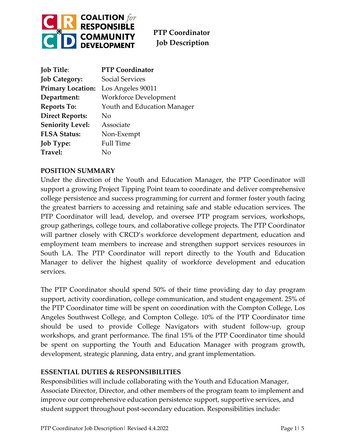

| <b>Job Title:</b>        | <b>PTP Coordinator</b>       |
|--------------------------|------------------------------|
| <b>Job Category:</b>     | <b>Social Services</b>       |
| <b>Primary Location:</b> | Los Angeles 90011            |
| Department:              | <b>Workforce Development</b> |
| <b>Reports To:</b>       | Youth and Education Manager  |
| <b>Direct Reports:</b>   | N <sub>o</sub>               |
| <b>Seniority Level:</b>  | Associate                    |
| <b>FLSA Status:</b>      | Non-Exempt                   |
| <b>Job Type:</b>         | <b>Full Time</b>             |
| Travel:                  | Nο                           |

## **POSITION SUMMARY**

Under the direction of the Youth and Education Manager, the PTP Coordinator will support a growing Project Tipping Point team to coordinate and deliver comprehensive college persistence and success programming for current and former foster youth facing the greatest barriers to accessing and retaining safe and stable education services. The PTP Coordinator will lead, develop, and oversee PTP program services, workshops, group gatherings, college tours, and collaborative college projects. The PTP Coordinator will partner closely with CRCD's workforce development department, education and employment team members to increase and strengthen support services resources in South LA. The PTP Coordinator will report directly to the Youth and Education Manager to deliver the highest quality of workforce development and education services.

The PTP Coordinator should spend 50% of their time providing day to day program support, activity coordination, college communication, and student engagement. 25% of the PTP Coordinator time will be spent on coordination with the Compton College, Los Angeles Southwest College, and Compton College. 10% of the PTP Coordinator time should be used to provide College Navigators with student follow-up, group workshops, and grant performance. The final 15% of the PTP Coordinator time should be spent on supporting the Youth and Education Manager with program growth, development, strategic planning, data entry, and grant implementation.

### **ESSENTIAL DUTIES & RESPONSIBILITIES**

Responsibilities will include collaborating with the Youth and Education Manager, Associate Director, Director, and other members of the program team to implement and improve our comprehensive education persistence support, supportive services, and student support throughout post-secondary education. Responsibilities include: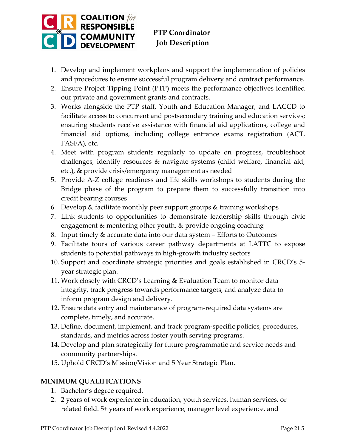

- 1. Develop and implement workplans and support the implementation of policies and procedures to ensure successful program delivery and contract performance.
- 2. Ensure Project Tipping Point (PTP) meets the performance objectives identified our private and government grants and contracts.
- 3. Works alongside the PTP staff, Youth and Education Manager, and LACCD to facilitate access to concurrent and postsecondary training and education services; ensuring students receive assistance with financial aid applications, college and financial aid options, including college entrance exams registration (ACT, FASFA), etc.
- 4. Meet with program students regularly to update on progress, troubleshoot challenges, identify resources & navigate systems (child welfare, financial aid, etc.), & provide crisis/emergency management as needed
- 5. Provide A-Z college readiness and life skills workshops to students during the Bridge phase of the program to prepare them to successfully transition into credit bearing courses
- 6. Develop & facilitate monthly peer support groups & training workshops
- 7. Link students to opportunities to demonstrate leadership skills through civic engagement & mentoring other youth, & provide ongoing coaching
- 8. Input timely & accurate data into our data system Efforts to Outcomes
- 9. Facilitate tours of various career pathway departments at LATTC to expose students to potential pathways in high-growth industry sectors
- 10. Support and coordinate strategic priorities and goals established in CRCD's 5 year strategic plan.
- 11. Work closely with CRCD's Learning & Evaluation Team to monitor data integrity, track progress towards performance targets, and analyze data to inform program design and delivery.
- 12. Ensure data entry and maintenance of program-required data systems are complete, timely, and accurate.
- 13. Define, document, implement, and track program-specific policies, procedures, standards, and metrics across foster youth serving programs.
- 14. Develop and plan strategically for future programmatic and service needs and community partnerships.
- 15. Uphold CRCD's Mission/Vision and 5 Year Strategic Plan.

# **MINIMUM QUALIFICATIONS**

- 1. Bachelor's degree required.
- 2. 2 years of work experience in education, youth services, human services, or related field. 5+ years of work experience, manager level experience, and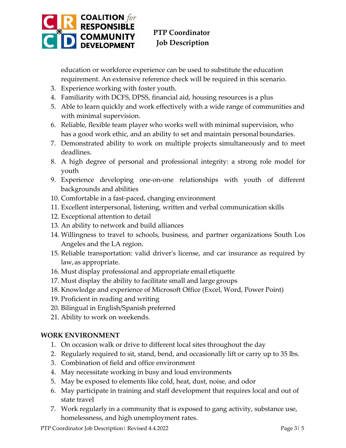

education or workforce experience can be used to substitute the education requirement. An extensive reference check will be required in this scenario.

- 3. Experience working with foster youth.
- 4. Familiarity with DCFS, DPSS, financial aid, housing resources is a plus
- 5. Able to learn quickly and work effectively with a wide range of communities and with minimal supervision.
- 6. Reliable, flexible team player who works well with minimal supervision, who has a good work ethic, and an ability to set and maintain personal boundaries.
- 7. Demonstrated ability to work on multiple projects simultaneously and to meet deadlines.
- 8. A high degree of personal and professional integrity: a strong role model for youth
- 9. Experience developing one-on-one relationships with youth of different backgrounds and abilities
- 10. Comfortable in a fast-paced, changing environment
- 11. Excellent interpersonal, listening, written and verbal communication skills
- 12. Exceptional attention to detail
- 13. An ability to network and build alliances
- 14. Willingness to travel to schools, business, and partner organizations South Los Angeles and the LA region.
- 15. Reliable transportation: valid driver's license, and car insurance as required by law,as appropriate.
- 16. Must display professional and appropriate email etiquette
- 17. Must display the ability to facilitate small and large groups
- 18. Knowledge and experience of Microsoft Office (Excel, Word, Power Point)
- 19. Proficient in reading and writing
- 20. Bilingual in English/Spanish preferred
- 21. Ability to work on weekends.

### **WORK ENVIRONMENT**

- 1. On occasion walk or drive to different local sites throughout the day
- 2. Regularly required to sit, stand, bend, and occasionally lift or carry up to 35 lbs.
- 3. Combination of field and office environment
- 4. May necessitate working in busy and loud environments
- 5. May be exposed to elements like cold, heat, dust, noise, and odor
- 6. May participate in training and staff development that requires local and out of state travel
- 7. Work regularly in a community that is exposed to gang activity, substance use, homelessness, and high unemployment rates.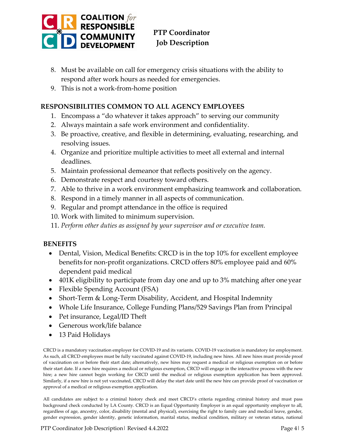

- 8. Must be available on call for emergency crisis situations with the ability to respond after work hours as needed for emergencies.
- 9. This is not a work-from-home position

### **RESPONSIBILITIES COMMON TO ALL AGENCY EMPLOYEES**

- 1. Encompass a "do whatever it takes approach" to serving our community
- 2. Always maintain a safe work environment and confidentiality.
- 3. Be proactive, creative, and flexible in determining, evaluating, researching, and resolving issues.
- 4. Organize and prioritize multiple activities to meet all external and internal deadlines.
- 5. Maintain professional demeanor that reflects positively on the agency.
- 6. Demonstrate respect and courtesy toward others.
- 7. Able to thrive in a work environment emphasizing teamwork and collaboration.
- 8. Respond in a timely manner in all aspects of communication.
- 9. Regular and prompt attendance in the office is required
- 10. Work with limited to minimum supervision.
- 11. *Perform other duties as assigned by your supervisor and or executive team.*

#### **BENEFITS**

- Dental, Vision, Medical Benefits: CRCD is in the top 10% for excellent employee benefits for non-profit organizations. CRCD offers 80% employee paid and 60% dependent paid medical
- 401K eligibility to participate from day one and up to 3% matching after one year
- Flexible Spending Account (FSA)
- Short-Term & Long-Term Disability, Accident, and Hospital Indemnity
- Whole Life Insurance, College Funding Plans/529 Savings Plan from Principal
- Pet insurance, Legal/ID Theft
- Generous work/life balance
- 13 Paid Holidays

CRCD is a mandatory vaccination employer for COVID-19 and its variants. COVID-19 vaccination is mandatory for employment. As such, all CRCD employees must be fully vaccinated against COVID-19, including new hires. All new hires must provide proof of vaccination on or before their start date; alternatively, new hires may request a medical or religious exemption on or before their start date. If a new hire requires a medical or religious exemption, CRCD will engage in the interactive process with the new hire; a new hire cannot begin working for CRCD until the medical or religious exemption application has been approved. Similarly, if a new hire is not yet vaccinated, CRCD will delay the start date until the new hire can provide proof of vaccination or approval of a medical or religious exemption application.

All candidates are subject to a criminal history check and meet CRCD's criteria regarding criminal history and must pass background check conducted by LA County. CRCD is an Equal Opportunity Employer is an equal opportunity employer to all, regardless of age, ancestry, color, disability (mental and physical), exercising the right to family care and medical leave, gender, gender expression, gender identity, genetic information, marital status, medical condition, military or veteran status, national